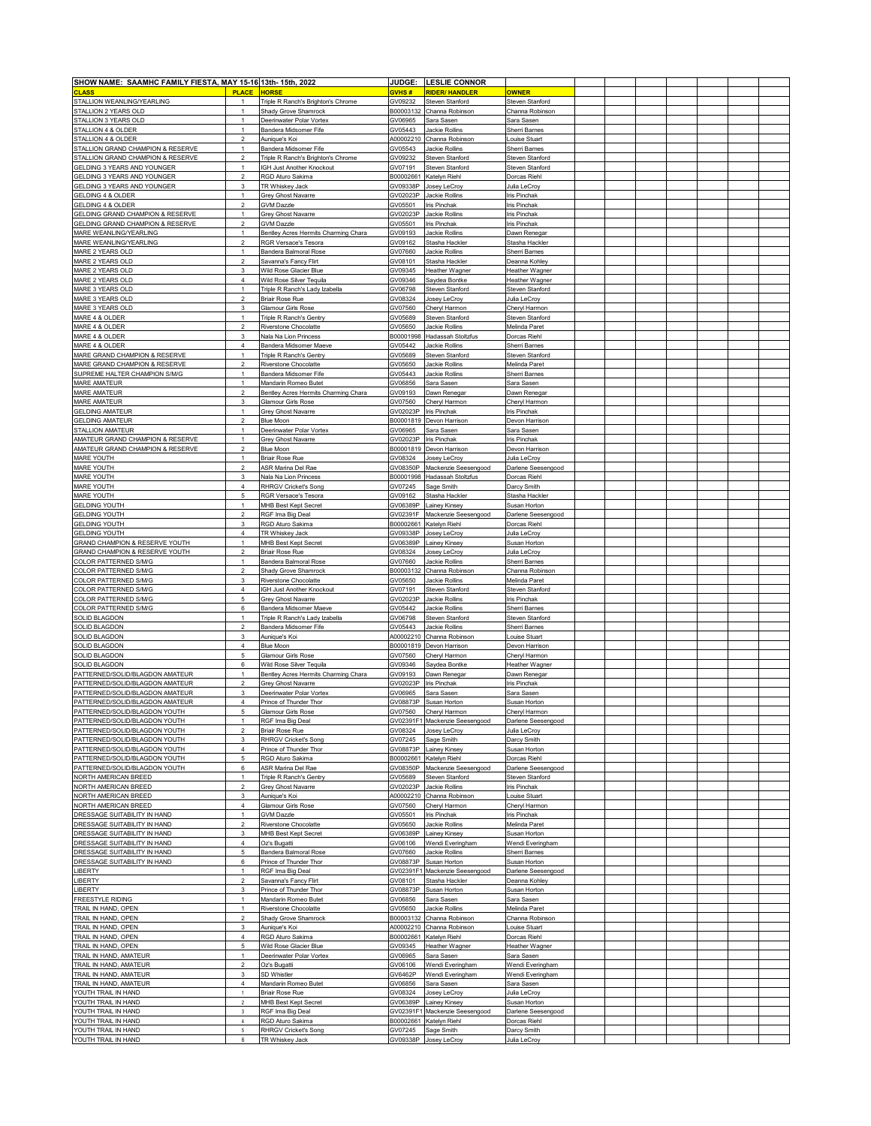| SHOW NAME: SAAMHC FAMILY FIESTA, MAY 15-16 13th-15th, 2022         |                                |                                                             | <b>JUDGE:</b>          | <b>LESLIE CONNOR</b>                    |                                    |  |  |  |
|--------------------------------------------------------------------|--------------------------------|-------------------------------------------------------------|------------------------|-----------------------------------------|------------------------------------|--|--|--|
| <b>CLASS</b>                                                       | <b>PLACE HORSE</b>             |                                                             | <b>GVHS#</b>           | <b>RIDER/ HANDLER</b>                   | <b>OWNER</b>                       |  |  |  |
| STALLION WEANLING/YEARLING                                         |                                | Triple R Ranch's Brighton's Chrome                          | GV09232                | Steven Stanford                         | Steven Stanford                    |  |  |  |
| STALLION 2 YEARS OLD                                               | 1                              | Shady Grove Shamrock                                        | B0000313               | Channa Robinson                         | Channa Robinson                    |  |  |  |
| STALLION 3 YEARS OLD                                               | $\mathbf{1}$                   | Deerinwater Polar Vortex                                    | GV06965                | Sara Sasen                              | Sara Sasen                         |  |  |  |
| STALLION 4 & OLDER                                                 | $\overline{1}$                 | Bandera Midsomer Fife                                       | GV05443                | Jackie Rollins                          | Sherri Barnes                      |  |  |  |
| STALLION 4 & OLDER<br>STALLION GRAND CHAMPION & RESERVE            | $\overline{2}$<br>$\mathbf{1}$ | Aunique's Koi                                               | A00002210<br>GV05543   | Channa Robinson<br>Jackie Rollins       | Louise Stuart<br>Sherri Barnes     |  |  |  |
| STALLION GRAND CHAMPION & RESERVE                                  | $\overline{2}$                 | Bandera Midsomer Fife<br>Triple R Ranch's Brighton's Chrome | GV09232                | Steven Stanford                         | Steven Stanford                    |  |  |  |
| <b>GELDING 3 YEARS AND YOUNGER</b>                                 | $\mathbf{1}$                   | <b>IGH Just Another Knockout</b>                            | GV07191                | Steven Stanford                         | Steven Stanford                    |  |  |  |
| GELDING 3 YEARS AND YOUNGER                                        | $\overline{c}$                 | RGD Aturo Sakima                                            | B00002661              | Katelyn Riehl                           | Dorcas Riehl                       |  |  |  |
| GELDING 3 YEARS AND YOUNGER                                        | 3                              | TR Whiskey Jack                                             | GV09338P               | Josey LeCroy                            | Julia LeCroy                       |  |  |  |
| <b>GELDING 4 &amp; OLDER</b>                                       | $\overline{1}$                 | <b>Grey Ghost Navarre</b>                                   | GV02023P               | Jackie Rollins                          | Iris Pinchak                       |  |  |  |
| <b>GELDING 4 &amp; OLDER</b>                                       | $\overline{2}$                 | <b>GVM Dazzle</b>                                           | GV05501                | ris Pinchak                             | Iris Pinchak                       |  |  |  |
| GELDING GRAND CHAMPION & RESERVE                                   | 1                              | Grey Ghost Navarre                                          | GV02023P               | <b>Jackie Rollins</b>                   | ris Pinchak                        |  |  |  |
| GELDING GRAND CHAMPION & RESERVE<br>MARE WEANLING/YEARLING         | $\overline{c}$<br>$\mathbf{1}$ | <b>GVM Dazzle</b><br>Bentley Acres Hermits Charming Chara   | GV05501                | Iris Pinchak                            | Iris Pinchak                       |  |  |  |
| MARE WEANLING/YEARLING                                             | $\overline{\phantom{0}}$       | RGR Versace's Tesora                                        | GV09193<br>GV09162     | Jackie Rollins<br>Stasha Hackle         | Dawn Renegar<br>Stasha Hackleı     |  |  |  |
| MARE 2 YEARS OLD                                                   | 1                              | Bandera Balmoral Rose                                       | GV07660                | Jackie Rollins                          | Sherri Barnes                      |  |  |  |
| MARE 2 YEARS OLD                                                   | $\overline{2}$                 | Savanna's Fancy Flirt                                       | GV08101                | Stasha Hackler                          | Deanna Kohley                      |  |  |  |
| MARE 2 YEARS OLD                                                   | $\mathbf 3$                    | Wild Rose Glacier Blue                                      | GV09345                | Heather Wagner                          | Heather Wagner                     |  |  |  |
| MARE 2 YEARS OLD                                                   | $\overline{4}$                 | Wild Rose Silver Tequila                                    | GV09346                | Saydea Bontke                           | <b>Heather Wagner</b>              |  |  |  |
| MARE 3 YEARS OLD                                                   | $\mathbf{1}$                   | Triple R Ranch's Lady Izabella                              | GV06798                | <u>Steven Stanford</u>                  | Steven Stanford                    |  |  |  |
| MARE 3 YEARS OLD                                                   | $\mathbf 2$                    | <b>Briair Rose Rue</b>                                      | GV08324                | Josey LeCroy                            | Julia LeCroy                       |  |  |  |
| MARE 3 YEARS OLD                                                   | 3<br>$\mathbf{1}$              | Glamour Girls Rose                                          | GV07560                | Cheryl Harmon                           | Cheryl Harmon                      |  |  |  |
| MARE 4 & OLDER<br>MARE 4 & OLDER                                   | $\overline{2}$                 | Triple R Ranch's Gentry<br>Riverstone Chocolatte            | GV05689<br>GV05650     | Steven Stanford<br>Jackie Rollins       | Steven Stanford<br>Melinda Paret   |  |  |  |
| MARE 4 & OLDER                                                     | 3                              | Nala Na Lion Princess                                       | B00001998              | Hadassah Stoltzfus                      | Dorcas Riehl                       |  |  |  |
| MARE 4 & OLDER                                                     | 4                              | Bandera Midsomer Maeve                                      | GV05442                | Jackie Rollins                          | Sherri Barnes                      |  |  |  |
| MARE GRAND CHAMPION & RESERVE                                      | $\mathbf{1}$                   | Triple R Ranch's Gentry                                     | GV05689                | Steven Stanford                         | Steven Stanford                    |  |  |  |
| MARE GRAND CHAMPION & RESERVE                                      | $\overline{c}$                 | Riverstone Chocolatte                                       | GV05650                | Jackie Rollins                          | Melinda Paret                      |  |  |  |
| SUPREME HALTER CHAMPION S/M/G                                      | $\mathbf{1}$                   | Bandera Midsomer Fife                                       | GV05443                | Jackie Rollins                          | Sherri Barnes                      |  |  |  |
| <b>MARE AMATEUR</b>                                                | $\overline{1}$                 | Mandarin Romeo Butet                                        | GV06856                | <u>Sara Sasen</u>                       | <u>Sara Sasen</u>                  |  |  |  |
| <b>MARE AMATEUR</b>                                                | $\overline{c}$                 | Bentley Acres Hermits Charming Chara                        | GV09193                | Dawn Renegar                            | Dawn Renegar                       |  |  |  |
| <b>MARE AMATEUR</b>                                                | 3                              | <b>Glamour Girls Rose</b>                                   | GV07560                | Cheryl Harmon                           | Cheryl Harmon                      |  |  |  |
| <b>GELDING AMATEUR</b><br><b>GELDING AMATEUR</b>                   | $\mathbf{1}$<br>$\overline{2}$ | Grey Ghost Navarre<br><b>Blue Moon</b>                      | GV02023P               | ris Pinchak<br>B00001819 Devon Harrison | Iris Pinchak<br>Devon Harrison     |  |  |  |
| STALLION AMATEUR                                                   | $\overline{1}$                 | Deerinwater Polar Vortex                                    | GV06965                | Sara Saser                              | Sara Sasen                         |  |  |  |
| AMATEUR GRAND CHAMPION & RESERVE                                   |                                | Grey Ghost Navarre                                          | GV02023P               | Iris Pinchak                            | ris Pinchak                        |  |  |  |
| AMATEUR GRAND CHAMPION & RESERVE                                   | $\overline{2}$                 | <b>Blue Moon</b>                                            | B00001819              | Devon Harrison                          | Devon Harrison                     |  |  |  |
| MARE YOUTH                                                         | 1                              | <b>Briair Rose Rue</b>                                      | GV08324                | Josey LeCroy                            | Julia LeCroy                       |  |  |  |
| MARE YOUTH                                                         | $\overline{2}$                 | ASR Marina Del Rae                                          | GV08350P               | Mackenzie Seesengood                    | Darlene Seesengood                 |  |  |  |
| MARE YOUTH                                                         | 3                              | Nala Na Lion Princess                                       | B00001998              | Hadassah Stoltzfus                      | Dorcas Riehl                       |  |  |  |
| MARE YOUTH                                                         | 4                              | <b>RHRGV Cricket's Song</b>                                 | GV07245                | Sage Smith                              | Darcy Smith                        |  |  |  |
| MARE YOUTH                                                         | 5<br>1                         | RGR Versace's Tesora                                        | GV09162                | Stasha Hackler                          | Stasha Hackler                     |  |  |  |
| <b>GELDING YOUTH</b><br><b>GELDING YOUTH</b>                       | $\overline{2}$                 | MHB Best Kept Secret<br>RGF Ima Big Deal                    | GV06389P<br>GV02391F   | ainey Kinsey.<br>Mackenzie Seesengood   | Susan Horton<br>Darlene Seesengood |  |  |  |
| <b>GELDING YOUTH</b>                                               | $\mathbf{3}$                   | RGD Aturo Sakima                                            | B00002661              | Katelyn Riehl                           | Dorcas Riehl                       |  |  |  |
| <b>GELDING YOUTH</b>                                               | $\overline{4}$                 | TR Whiskey Jack                                             | GV09338P               | losey LeCroy                            | <b>Julia LeCroy</b>                |  |  |  |
| GRAND CHAMPION & RESERVE YOUTH                                     | $\mathbf{1}$                   | MHB Best Kept Secret                                        | GV06389P               | ainey Kinsey                            | Susan Horton                       |  |  |  |
| GRAND CHAMPION & RESERVE YOUTH                                     | $\overline{c}$                 | <b>Briair Rose Rue</b>                                      | GV08324                | Josey LeCroy                            | Julia LeCroy                       |  |  |  |
| COLOR PATTERNED S/M/G                                              | $\mathbf{1}$                   | Bandera Balmoral Rose                                       | GV07660                | Jackie Rollins                          | Sherri Barnes                      |  |  |  |
| COLOR PATTERNED S/M/G                                              | $\overline{2}$                 | Shady Grove Shamrock                                        | B00003132              | Channa Robinson                         | Channa Robinson                    |  |  |  |
| COLOR PATTERNED S/M/G<br><b>COLOR PATTERNED S/M/G</b>              | 3<br>$\overline{4}$            | Riverstone Chocolatte                                       | GV05650<br>GV07191     | Jackie Rollins                          | Melinda Paret                      |  |  |  |
| COLOR PATTERNED S/M/G                                              | 5                              | IGH Just Another Knockout<br>Grey Ghost Navarre             | GV02023P               | Steven Stanford<br>Jackie Rollins       | Steven Stanford<br>Iris Pinchak    |  |  |  |
| COLOR PATTERNED S/M/G                                              | 6                              | Bandera Midsomer Maeve                                      | GV05442                | Jackie Rollins                          | Sherri Barnes                      |  |  |  |
| <b>SOLID BLAGDON</b>                                               | $\ddot{\phantom{0}}$           | Triple R Ranch's Lady Izabella                              | GV06798                | Steven Stanford                         | Steven Stanford                    |  |  |  |
| SOLID BLAGDON                                                      | $\overline{c}$                 | Bandera Midsomer Fife                                       | GV05443                | Jackie Rollins                          | Sherri Barnes                      |  |  |  |
| <b>SOLID BLAGDON</b>                                               | 3                              | Aunique's Koi                                               | A00002210              | Channa Robinson                         | ouise Stuar                        |  |  |  |
| <b>SOLID BLAGDON</b>                                               | $\overline{4}$                 | Blue Moon                                                   | B00001819              | Devon Harrison                          | Devon Harrison                     |  |  |  |
| <b>SOLID BLAGDON</b>                                               | 5                              | Glamour Girls Rose                                          | GV07560                | Cheryl Harmon                           | Cheryl Harmon                      |  |  |  |
| SOLID BLAGDON                                                      | 6                              | Wild Rose Silver Tequila                                    | GV09346                | Saydea Bontke                           | <b>Heather Wagner</b>              |  |  |  |
| PATTERNED/SOLID/BLAGDON AMATEUR<br>PATTERNED/SOLID/BLAGDON AMATEUR | 1<br>$\overline{2}$            | Bentley Acres Hermits Charming Chara<br>Grey Ghost Navarre  | GV09193<br>GV02023P    | Dawn Renegar<br>Iris Pinchak            | Dawn Renegar<br>ris Pinchak        |  |  |  |
| PATTERNED/SOLID/BLAGDON AMATEUR                                    | 3                              | Deerinwater Polar Vortex                                    | GV06965                | Sara Sasen                              | Sara Sasen                         |  |  |  |
| PATTERNED/SOLID/BLAGDON AMATEUR                                    | 4                              | Prince of Thunder Thor                                      | GV08873P               | Susan Horton                            | Susan Horton                       |  |  |  |
| PATTERNED/SOLID/BLACDON VOLITH                                     | 5                              | Clamour Cirle Pos                                           | GV07560                | Cheryl Harm                             | `hervi Harn                        |  |  |  |
| PATTERNED/SOLID/BLAGDON YOUTH                                      | 1                              | RGF Ima Big Deal                                            |                        | GV02391F1 Mackenzie Seesengood          | Darlene Seesengood                 |  |  |  |
| PATTERNED/SOLID/BLAGDON YOUTH                                      | $\overline{2}$                 | <b>Briair Rose Rue</b>                                      | GV08324                | Josey LeCroy                            | Julia LeCroy                       |  |  |  |
| PATTERNED/SOLID/BLAGDON YOUTH                                      | 3                              | RHRGV Cricket's Song                                        | GV07245                | Sage Smith                              | Darcy Smith                        |  |  |  |
| PATTERNED/SOLID/BLAGDON YOUTH                                      | 4                              | Prince of Thunder Thor                                      | GV08873P               | ainey Kinsey                            | Susan Horton                       |  |  |  |
| PATTERNED/SOLID/BLAGDON YOUTH<br>PATTERNED/SOLID/BLAGDON YOUTH     | 5<br>6                         | RGD Aturo Sakima<br>ASR Marina Del Rae                      | B00002661<br>GV08350P  | Katelyn Riehl<br>Mackenzie Seesengood   | Dorcas Riehl<br>Darlene Seesengood |  |  |  |
| NORTH AMERICAN BREED                                               | $\mathbf{1}$                   | Triple R Ranch's Gentry                                     | GV05689                | Steven Stanford                         | Steven Stanford                    |  |  |  |
| NORTH AMERICAN BREED                                               | $\overline{c}$                 | Grey Ghost Navarre                                          | GV02023P               | Jackie Rollins                          | Iris Pinchak                       |  |  |  |
| NORTH AMERICAN BREED                                               | 3                              | Aunique's Koi                                               | A00002210              | Channa Robinson                         | ouise Stuart                       |  |  |  |
| NORTH AMERICAN BREED                                               | $\overline{4}$                 | Glamour Girls Rose                                          | GV07560                | Cheryl Harmon                           | Cheryl Harmon                      |  |  |  |
| DRESSAGE SUITABILITY IN HAND                                       |                                | <b>GVM Dazzle</b>                                           | GV05501                | Iris Pinchak                            | ris Pinchak                        |  |  |  |
| DRESSAGE SUITABILITY IN HAND                                       | $\overline{2}$                 | Riverstone Chocolatte                                       | GV05650                | Jackie Rollins                          | Melinda Paret                      |  |  |  |
| DRESSAGE SUITABILITY IN HAND                                       | $\mathbf 3$                    | MHB Best Kept Secret                                        | GV06389P               | ainey Kinsey                            | Susan Horton                       |  |  |  |
| DRESSAGE SUITABILITY IN HAND<br>DRESSAGE SUITABILITY IN HAND       | 4<br>5                         | Oz's Bugatti<br>Bandera Balmoral Rose                       | GV06106<br>GV07660     | Vendi Everingham<br>Jackie Rollins      | Wendi Everingham<br>Sherri Barnes  |  |  |  |
| DRESSAGE SUITABILITY IN HAND                                       | 6                              | Prince of Thunder Thor                                      | GV08873P               | Susan Horton                            | Susan Horton                       |  |  |  |
| LIBERTY                                                            | $\mathbf{1}$                   | RGF Ima Big Deal                                            | GV02391F1              | Mackenzie Seesengood                    | Darlene Seesengood                 |  |  |  |
| LIBERTY                                                            | $\overline{\mathbf{c}}$        | Savanna's Fancy Flirt                                       | GV08101                | Stasha Hackler                          | Deanna Kohley                      |  |  |  |
| LIBERTY                                                            | $\mathbf{3}$                   | Prince of Thunder Thor                                      | GV08873P               | Susan Horton                            | Susan Horton                       |  |  |  |
| FREESTYLE RIDING                                                   | $\overline{1}$                 | Mandarin Romeo Butet                                        | GV06856                | Sara Sasen                              | Sara Sasen                         |  |  |  |
| TRAIL IN HAND, OPEN                                                | $\mathbf{1}$                   | Riverstone Chocolatte                                       | GV05650                | Jackie Rollins                          | Melinda Paret                      |  |  |  |
| TRAIL IN HAND, OPEN                                                | $\mathbf 2$                    | Shady Grove Shamrock                                        | B00003132              | Channa Robinson                         | Channa Robinson                    |  |  |  |
| TRAIL IN HAND, OPEN<br>TRAIL IN HAND, OPEN                         | 3<br>$\overline{4}$            | Aunique's Koi<br>RGD Aturo Sakima                           | A00002210<br>B00002661 | Channa Robinson<br>Katelyn Riehl        | ouise Stuart<br>Dorcas Riehl       |  |  |  |
| TRAIL IN HAND, OPEN                                                | $\mathbf 5$                    | Wild Rose Glacier Blue                                      | GV09345                | Heather Wagner                          | Heather Wagner                     |  |  |  |
| TRAIL IN HAND, AMATEUR                                             | 1                              | Deerinwater Polar Vortex                                    | GV06965                | Sara Sasen                              | Sara Sasen                         |  |  |  |
| TRAIL IN HAND, AMATEUR                                             | $\overline{2}$                 | Oz's Bugatti                                                | GV06106                | Wendi Everingham                        | Wendi Everingham                   |  |  |  |
| TRAIL IN HAND, AMATEUR                                             | 3                              | SD Whistler                                                 | GV6462P                | Wendi Everingham                        | Wendi Everingham                   |  |  |  |
| TRAIL IN HAND, AMATEUR                                             | $\overline{4}$                 | Mandarin Romeo Butet                                        | GV06856                | Sara Sasen                              | Sara Sasen                         |  |  |  |
| YOUTH TRAIL IN HAND                                                | $\overline{1}$                 | <b>Briair Rose Rue</b>                                      | GV08324                | Josey LeCroy                            | Julia LeCroy                       |  |  |  |
| YOUTH TRAIL IN HAND                                                | $\overline{2}$                 | MHB Best Kept Secret                                        | GV06389P               | ainey Kinsey                            | Susan Horton                       |  |  |  |
| YOUTH TRAIL IN HAND                                                | $\mathsf 3$                    | RGF Ima Big Deal                                            | GV02391F1              | Mackenzie Seesengood                    | Darlene Seesengood                 |  |  |  |
| YOUTH TRAIL IN HAND<br>YOUTH TRAIL IN HAND                         | $\overline{4}$<br>5            | RGD Aturo Sakima<br>RHRGV Cricket's Song                    | B00002661<br>GV07245   | Katelyn Riehl<br>Sage Smith             | Dorcas Riehl<br>Darcy Smith        |  |  |  |
| YOUTH TRAIL IN HAND                                                | 6                              | TR Whiskey Jack                                             | GV09338P               | Josey LeCroy                            | Julia LeCroy                       |  |  |  |
|                                                                    |                                |                                                             |                        |                                         |                                    |  |  |  |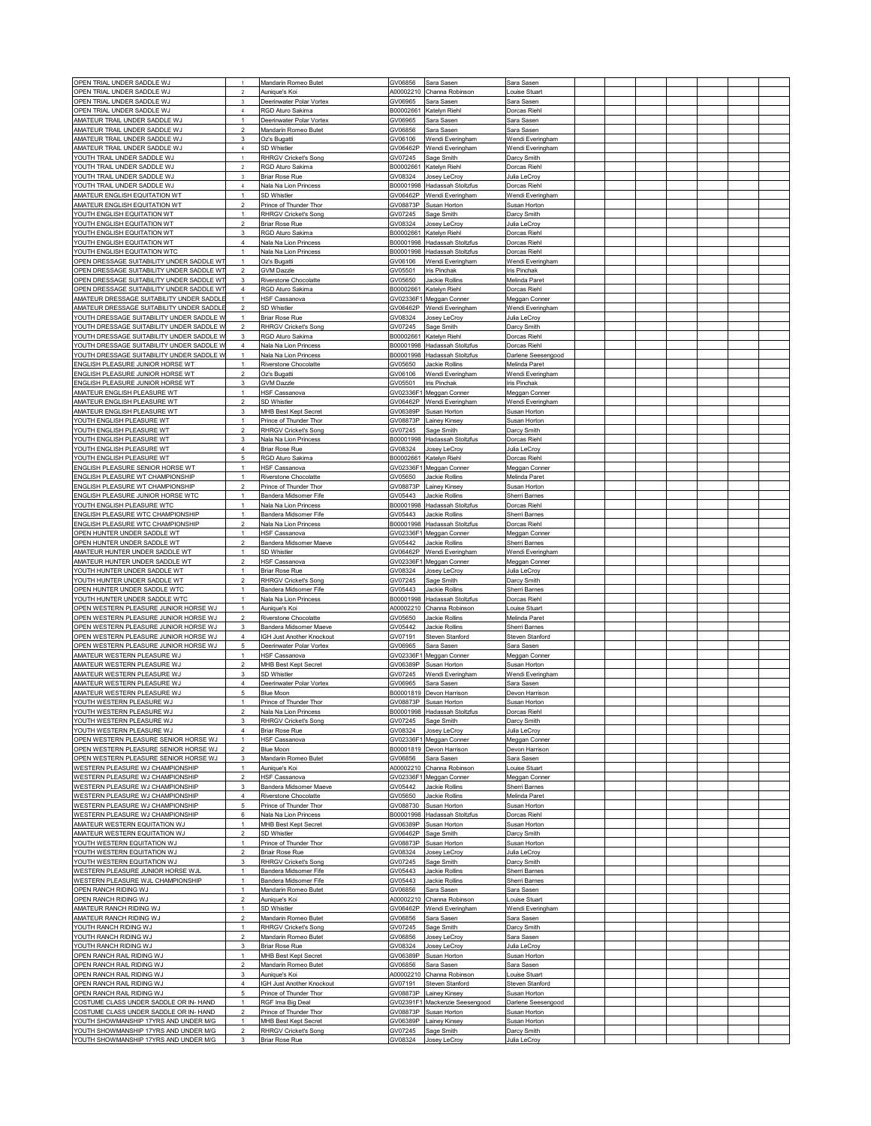| OPEN TRIAL UNDER SADDLE WJ                                                     | $\overline{1}$                             | Mandarin Romeo Butet                   | GV06856            | Sara Sasen                       | Sara Sasen                  |  |  |  |  |
|--------------------------------------------------------------------------------|--------------------------------------------|----------------------------------------|--------------------|----------------------------------|-----------------------------|--|--|--|--|
| OPEN TRIAL UNDER SADDLE WJ                                                     | $\overline{2}$                             | Aunique's Koi                          | A00002210          | Channa Robinson                  | Louise Stuart               |  |  |  |  |
| OPEN TRIAL UNDER SADDLE WJ                                                     | $\overline{3}$                             | Deerinwater Polar Vortex               | GV06965            | Sara Sasen                       | Sara Sasen                  |  |  |  |  |
| OPEN TRIAL UNDER SADDLE WJ                                                     | $\overline{4}$                             | RGD Aturo Sakima                       | B00002661          | Katelyn Riehl                    | Dorcas Riehl                |  |  |  |  |
| AMATEUR TRAIL UNDER SADDLE WJ                                                  | $\mathbf{1}$                               | Deerinwater Polar Vortex               | GV06965            | Sara Sasen                       | Sara Sasen                  |  |  |  |  |
| AMATEUR TRAIL UNDER SADDLE WJ                                                  | $\overline{2}$                             | Mandarin Romeo Butet                   | GV06856            | Sara Sasen                       | Sara Sasen                  |  |  |  |  |
| AMATEUR TRAIL UNDER SADDLE WJ                                                  | 3                                          | Oz's Bugatti                           | GV06106            | Wendi Everingham                 | Wendi Everingham            |  |  |  |  |
| AMATEUR TRAIL UNDER SADDLE WJ                                                  | $\overline{4}$                             | SD Whistler                            | GV06462P           | Wendi Everingham                 | Wendi Everingham            |  |  |  |  |
| YOUTH TRAIL UNDER SADDLE WJ                                                    | 1                                          | RHRGV Cricket's Song                   | GV07245            | Sage Smith                       | Darcy Smith                 |  |  |  |  |
| YOUTH TRAIL UNDER SADDLE WJ                                                    | $\overline{2}$                             | RGD Aturo Sakima                       | 300002661          | Katelyn Riehl                    | Dorcas Riehl                |  |  |  |  |
| YOUTH TRAIL UNDER SADDLE WJ                                                    | $\overline{\mathbf{3}}$                    | <b>Briar Rose Rue</b>                  | GV08324            | losey LeCroy                     | Julia LeCroy                |  |  |  |  |
| YOUTH TRAIL UNDER SADDLE WJ                                                    | $\sqrt{4}$                                 | Nala Na Lion Princess                  | B00001998          | Hadassah Stoltzfus               | Dorcas Riehl                |  |  |  |  |
|                                                                                | $\overline{1}$                             |                                        |                    |                                  |                             |  |  |  |  |
| AMATEUR ENGLISH EQUITATION WT                                                  |                                            | SD Whistler                            | GV06462P           | Wendi Everingham                 | Wendi Everingham            |  |  |  |  |
| AMATEUR ENGLISH EQUITATION WT                                                  | $\overline{2}$                             | Prince of Thunder Thor                 | GV08873P           | Susan Horton                     | Susan Horton                |  |  |  |  |
| YOUTH ENGLISH EQUITATION WT                                                    | $\overline{1}$                             | RHRGV Cricket's Song                   | GV07245            | Sage Smith                       | Darcy Smith                 |  |  |  |  |
| YOUTH ENGLISH EQUITATION WT                                                    | $\overline{2}$                             | <b>Briar Rose Rue</b>                  | GV08324            | Josey LeCroy                     | Julia LeCroy                |  |  |  |  |
| YOUTH ENGLISH EQUITATION WT                                                    | 3                                          | RGD Aturo Sakima                       | B0000266           | Katelyn Riehl                    | Dorcas Riehl                |  |  |  |  |
| YOUTH ENGLISH EQUITATION WT                                                    | $\overline{4}$                             | Nala Na Lion Princess                  | B00001998          | Hadassah Stoltzfus               | Dorcas Riehl                |  |  |  |  |
| YOUTH ENGLISH EQUITATION WTC                                                   | $\overline{1}$                             | Nala Na Lion Princess                  | B00001998          | Hadassah Stoltzfus               | Dorcas Riehl                |  |  |  |  |
| OPEN DRESSAGE SUITABILITY UNDER SADDLE WT                                      | $\mathbf{1}$                               | Oz's Bugatti                           | GV06106            | Wendi Everingham                 | Wendi Everingham            |  |  |  |  |
| OPEN DRESSAGE SUITABILITY UNDER SADDLE WT                                      | $\overline{2}$                             | <b>GVM Dazzle</b>                      | GV05501            | ris Pinchak                      | Iris Pinchak                |  |  |  |  |
| OPEN DRESSAGE SUITABILITY UNDER SADDLE WT                                      | 3                                          | <b>Riverstone Chocolatte</b>           | GV05650            | Jackie Rollins                   | Melinda Paret               |  |  |  |  |
| OPEN DRESSAGE SUITABILITY UNDER SADDLE WT                                      | $\overline{4}$                             | RGD Aturo Sakima                       | B00002661          | Katelyn Riehl                    | Dorcas Riehl                |  |  |  |  |
| AMATEUR DRESSAGE SUITABILITY UNDER SADDLE                                      | $\overline{1}$                             | HSF Cassanova                          | GV02336F           | Meggan Conner                    | Meggan Conner               |  |  |  |  |
| AMATEUR DRESSAGE SUITABILITY UNDER SADDLE                                      | $\overline{2}$                             | SD Whistler                            | GV06462P           | Wendi Everingham                 | Wendi Everingham            |  |  |  |  |
| YOUTH DRESSAGE SUITABILITY UNDER SADDLE V                                      | $\overline{1}$                             |                                        | GV08324            |                                  |                             |  |  |  |  |
|                                                                                | $\overline{c}$                             | Briar Rose Rue                         |                    | losey LeCroy                     | Julia LeCroy                |  |  |  |  |
| YOUTH DRESSAGE SUITABILITY UNDER SADDLE W                                      |                                            | RHRGV Cricket's Song                   | GV07245            | Sage Smith                       | Darcy Smith                 |  |  |  |  |
| YOUTH DRESSAGE SUITABILITY UNDER SADDLE W                                      | 3                                          | RGD Aturo Sakima                       | B00002661          | Katelyn Riehl                    | Dorcas Riehl                |  |  |  |  |
| YOUTH DRESSAGE SUITABILITY UNDER SADDLE W                                      | $\overline{4}$                             | Nala Na Lion Princess                  | B00001998          | Hadassah Stoltzfus               | Dorcas Riehl                |  |  |  |  |
| YOUTH DRESSAGE SUITABILITY UNDER SADDLE W                                      | $\mathbf{1}$                               | Nala Na Lion Princess                  | B00001998          | Hadassah Stoltzfus               | Darlene Seesengood          |  |  |  |  |
| ENGLISH PLEASURE JUNIOR HORSE WT                                               | $\mathbf{1}$                               | Riverstone Chocolatte                  | GV05650            | Jackie Rollins                   | Melinda Paret               |  |  |  |  |
| ENGLISH PLEASURE JUNIOR HORSE WT                                               | $\overline{2}$                             | Oz's Bugatti                           | GV06106            | Wendi Everingham                 | Wendi Everingham            |  |  |  |  |
| ENGLISH PLEASURE JUNIOR HORSE WT                                               | $\mathbf{3}$                               | <b>GVM Dazzle</b>                      | GV05501            | Iris Pinchak                     | Iris Pinchak                |  |  |  |  |
| AMATEUR ENGLISH PLEASURE WT                                                    | $\overline{1}$                             | HSF Cassanova                          | GV02336F           | Meggan Conner                    | Meggan Conner               |  |  |  |  |
| AMATEUR ENGLISH PLEASURE WT                                                    | $\mathfrak{p}$                             | SD Whistler                            | GV06462P           | Wendi Everingham                 | Wendi Everingham            |  |  |  |  |
| AMATEUR ENGLISH PLEASURE WT                                                    | $\ensuremath{\mathsf{3}}$                  | <b>MHB Best Kept Secret</b>            | GV06389P           | iusan Horton                     | Susan Horton                |  |  |  |  |
| YOUTH ENGLISH PLEASURE WT                                                      | $\mathbf{1}$                               | Prince of Thunder Thor                 | GV08873P           | ainey Kinsey.                    | Susan Horton                |  |  |  |  |
| YOUTH ENGLISH PLEASURE WT                                                      | $\overline{2}$                             | RHRGV Cricket's Song                   | GV07245            |                                  |                             |  |  |  |  |
|                                                                                |                                            |                                        |                    | Sage Smith<br>Hadassah Stoltzfus | Darcy Smith                 |  |  |  |  |
| YOUTH ENGLISH PLEASURE WT                                                      | 3                                          | Nala Na Lion Princess                  | B00001998          |                                  | Dorcas Riehl                |  |  |  |  |
| YOUTH ENGLISH PLEASURE WT                                                      | $\overline{4}$                             | <b>Briar Rose Rue</b>                  | GV08324            | losey LeCroy                     | Julia LeCroy                |  |  |  |  |
| YOUTH ENGLISH PLEASURE WT                                                      | $\,$ 5 $\,$                                | RGD Aturo Sakima                       | B0000266           | <b>Katelyn Riehl</b>             | Dorcas Riehl                |  |  |  |  |
| ENGLISH PLEASURE SENIOR HORSE WT                                               | $\mathbf{1}$                               | <b>HSF Cassanova</b>                   | GV02336F           | Meggan Conner                    | Meggan Conner               |  |  |  |  |
| ENGLISH PLEASURE WT CHAMPIONSHIP                                               | $\mathbf{1}$                               | Riverstone Chocolatte                  | GV05650            | Jackie Rollins                   | Melinda Paret               |  |  |  |  |
| ENGLISH PLEASURE WT CHAMPIONSHIP                                               | $\overline{2}$                             | Prince of Thunder Thor                 | GV08873P           | Lainey Kinsey                    | Susan Horton                |  |  |  |  |
| ENGLISH PLEASURE JUNIOR HORSE WTC                                              | $\overline{1}$                             | Bandera Midsomer Fife                  | GV05443            | Jackie Rollins                   | Sherri Barnes               |  |  |  |  |
| YOUTH ENGLISH PLEASURE WTC                                                     | $\overline{1}$                             | Nala Na Lion Princess                  | B00001998          | Hadassah Stoltzfus               | Dorcas Riehl                |  |  |  |  |
| ENGLISH PLEASURE WTC CHAMPIONSHIP                                              | $\mathbf{1}$                               | Bandera Midsomer Fife                  | GV05443            | ackie Rollins                    | Sherri Barnes               |  |  |  |  |
| ENGLISH PLEASURE WTC CHAMPIONSHIP                                              | $\overline{\mathbf{c}}$                    | Nala Na Lion Princess                  | B00001998          | Hadassah Stoltzfus               | Dorcas Riehl                |  |  |  |  |
|                                                                                |                                            |                                        |                    |                                  |                             |  |  |  |  |
| OPEN HUNTER UNDER SADDLE WT                                                    | $\overline{1}$<br>$\overline{\phantom{a}}$ | HSF Cassanova                          | GV02336F1          | Meggan Conner                    | Meggan Conner               |  |  |  |  |
| OPEN HUNTER UNDER SADDLE WT                                                    |                                            | Bandera Midsomer Maeve                 | GV05442            | lackie Rollins                   | Sherri Barnes               |  |  |  |  |
| AMATEUR HUNTER UNDER SADDLE WT                                                 | $\mathbf{1}$                               | SD Whistler                            | GV06462P           | Wendi Everingham                 | Wendi Everingham            |  |  |  |  |
| AMATEUR HUNTER UNDER SADDLE WT                                                 | $\overline{\mathbf{c}}$                    | HSF Cassanova                          | GV02336F           | Meggan Conner                    | Meggan Conner               |  |  |  |  |
| YOUTH HUNTER UNDER SADDLE WT                                                   | $\mathbf{1}$                               | <b>Briar Rose Rue</b>                  | GV08324            | Josey LeCroy                     | Julia LeCroy                |  |  |  |  |
| YOUTH HUNTER UNDER SADDLE WT                                                   | $\overline{2}$                             | RHRGV Cricket's Song                   | GV07245            | Sage Smith                       | Darcy Smith                 |  |  |  |  |
| OPEN HUNTER UNDER SADDLE WTC                                                   | $\overline{1}$                             | Bandera Midsomer Fife                  | GV05443            | Jackie Rollins                   | Sherri Barnes               |  |  |  |  |
| YOUTH HUNTER UNDER SADDLE WTC                                                  | $\overline{1}$                             | Nala Na Lion Princess                  | B00001998          | Hadassah Stoltzfus               | Dorcas Riehl                |  |  |  |  |
| OPEN WESTERN PLEASURE JUNIOR HORSE WJ                                          | $\mathbf{1}$                               | Aunique's Koi                          | A00002210          | Channa Robinson                  | ouise Stuart                |  |  |  |  |
| OPEN WESTERN PLEASURE JUNIOR HORSE WJ                                          | $\overline{\mathbf{c}}$                    | Riverstone Chocolatte                  | GV05650            | Jackie Rollins                   | Melinda Paret               |  |  |  |  |
| OPEN WESTERN PLEASURE JUNIOR HORSE WJ                                          | 3                                          | Bandera Midsomer Maeve                 | GV05442            | Jackie Rollins                   | Sherri Barnes               |  |  |  |  |
| OPEN WESTERN PLEASURE JUNIOR HORSE WJ                                          | $\overline{4}$                             | <b>IGH Just Another Knockout</b>       | GV07191            | Steven Stanford                  | Steven Stanford             |  |  |  |  |
| OPEN WESTERN PLEASURE JUNIOR HORSE WJ                                          |                                            |                                        |                    |                                  |                             |  |  |  |  |
|                                                                                | $\,$ 5 $\,$                                | Deerinwater Polar Vortex               | GV06965            | Sara Sasen                       | Sara Saser                  |  |  |  |  |
| AMATEUR WESTERN PLEASURE WJ                                                    | $\mathbf{1}$                               | HSF Cassanova                          | GV02336F           | Meggan Conner                    | Meggan Conner               |  |  |  |  |
| AMATEUR WESTERN PLEASURE WJ                                                    | $\overline{2}$                             | MHB Best Kept Secret                   | GV06389P           | Susan Horton                     | Susan Horton                |  |  |  |  |
| AMATEUR WESTERN PLEASURE WJ                                                    | 3                                          | SD Whistler                            | GV07245            | Wendi Everingham                 | Wendi Everingham            |  |  |  |  |
| AMATEUR WESTERN PLEASURE WJ                                                    | $\overline{4}$                             | Deerinwater Polar Vortex               | GV06965            | Sara Sasen                       | Sara Saser                  |  |  |  |  |
| AMATEUR WESTERN PLEASURE WJ                                                    | 5                                          | <b>Blue Moon</b>                       | B00001819          | Devon Harrison                   | Devon Harrison              |  |  |  |  |
| YOUTH WESTERN PLEASURE WJ                                                      | $\mathbf{1}$                               | Prince of Thunder Thor                 | GV08873P           | Susan Horton                     | Susan Horton                |  |  |  |  |
| YOUTH WESTERN PLEASURE W.                                                      |                                            | Nala Na Lion Princess                  |                    | B00001998   Hadassah Stoltzfus   | Dorcas Rieh                 |  |  |  |  |
| YOUTH WESTERN PLEASURE WJ                                                      | 3                                          | RHRGV Cricket's Song                   | GV07245            | Sage Smith                       | Darcy Smith                 |  |  |  |  |
| YOUTH WESTERN PLEASURE WJ                                                      | $\sqrt{4}$                                 | Briar Rose Rue                         | GV08324            | Josey LeCroy                     | Julia LeCroy                |  |  |  |  |
| OPEN WESTERN PLEASURE SENIOR HORSE WJ                                          |                                            | <b>HSF Cassanova</b>                   | GV02336F           | Meggan Conner                    | Meggan Conner               |  |  |  |  |
| OPEN WESTERN PLEASURE SENIOR HORSE WJ                                          | $\overline{2}$                             | <b>Blue Moon</b>                       |                    | B00001819 Devon Harrison         | Devon Harrison              |  |  |  |  |
| OPEN WESTERN PLEASURE SENIOR HORSE WJ                                          | 3                                          | Mandarin Romeo Butet                   | GV06856            | Sara Sasen                       | Sara Sasen                  |  |  |  |  |
| WESTERN PLEASURE WJ CHAMPIONSHIP                                               |                                            | Aunique's Koi                          |                    | A00002210 Channa Robinson        | Louise Stuart               |  |  |  |  |
| WESTERN PLEASURE WJ CHAMPIONSHIP                                               | $\overline{2}$                             | HSF Cassanova                          | GV02336F1          | Meggan Conner                    |                             |  |  |  |  |
| WESTERN PLEASURE WJ CHAMPIONSHIP                                               | 3                                          |                                        |                    |                                  | Meggan Conner               |  |  |  |  |
|                                                                                |                                            | Bandera Midsomer Maeve                 | GV05442            | lackie Rollins                   | <u>Sherri Barnes</u>        |  |  |  |  |
| WESTERN PLEASURE WJ CHAMPIONSHIP                                               | 4                                          | Riverstone Chocolatte                  | GV05650            | lackie Rollins                   | Melinda Paret               |  |  |  |  |
| WESTERN PLEASURE WJ CHAMPIONSHIP                                               | $\,$ 5 $\,$                                | Prince of Thunder Thor                 | GV088730           | Susan Horton                     | Susan Horton                |  |  |  |  |
| WESTERN PLEASURE WJ CHAMPIONSHIP                                               | 6                                          | Nala Na Lion Princess                  | B00001998          | Hadassah Stoltzfus               | Dorcas Riehl                |  |  |  |  |
| AMATEUR WESTERN EQUITATION WJ                                                  | $\mathbf{1}$                               | MHB Best Kept Secret                   | GV06389P           | Susan Horton                     | Susan Horton                |  |  |  |  |
| AMATEUR WESTERN EQUITATION WJ                                                  | $\overline{2}$                             | SD Whistler                            | GV06462P           | Sage Smith                       | Darcy Smith                 |  |  |  |  |
| YOUTH WESTERN EQUITATION WJ                                                    | $\mathbf{1}$                               | Prince of Thunder Thor                 | GV08873P           | Susan Horton                     | Susan Horton                |  |  |  |  |
| YOUTH WESTERN EQUITATION WJ                                                    | $\overline{2}$                             | <b>Briair Rose Rue</b>                 | GV08324            | Josey LeCroy                     | Julia LeCroy                |  |  |  |  |
| YOUTH WESTERN EQUITATION WJ                                                    | 3                                          | RHRGV Cricket's Song                   | GV07245            | Sage Smith                       | Darcy Smith                 |  |  |  |  |
| WESTERN PLEASURE JUNIOR HORSE WJL                                              | $\overline{1}$                             | Bandera Midsomer Fife                  | GV05443            | Jackie Rollins                   | Sherri Barnes               |  |  |  |  |
| WESTERN PLEASURE WJL CHAMPIONSHIP                                              |                                            | Bandera Midsomer Fife                  | GV05443            | Jackie Rollins                   | Sherri Barnes               |  |  |  |  |
| OPEN RANCH RIDING WJ                                                           | $\mathbf{1}$                               | Mandarin Romeo Butet                   | GV06856            | Sara Sasen                       | Sara Sasen                  |  |  |  |  |
| OPEN RANCH RIDING WJ                                                           | $\overline{\mathbf{c}}$                    |                                        | A00002210          | Channa Robinson                  | Louise Stuart               |  |  |  |  |
|                                                                                | $\mathbf{1}$                               | Aunique's Koi                          |                    |                                  |                             |  |  |  |  |
| AMATEUR RANCH RIDING WJ                                                        |                                            | SD Whistler                            | GV06462P           | Wendi Everingham                 | Wendi Everingham            |  |  |  |  |
| AMATEUR RANCH RIDING WJ                                                        | $\mathcal{P}$                              | Mandarin Romeo Butet                   | GV06856            | Sara Sasen                       | Sara Sasen                  |  |  |  |  |
| YOUTH RANCH RIDING WJ                                                          | $\mathbf{1}$                               | RHRGV Cricket's Song                   | GV07245            | Sage Smith                       | Darcy Smith                 |  |  |  |  |
| YOUTH RANCH RIDING WJ                                                          | $\mathcal{P}$                              | Mandarin Romeo Butet                   | GV06856            | Josey LeCroy                     | Sara Sasen                  |  |  |  |  |
| YOUTH RANCH RIDING WJ                                                          | 3                                          | Briar Rose Rue                         | GV08324            | Josey LeCroy                     | Julia LeCroy                |  |  |  |  |
| OPEN RANCH RAIL RIDING WJ                                                      | $\overline{1}$                             | <b>MHB Best Kept Secret</b>            | GV06389P           | Susan Horton                     | Susan Horton                |  |  |  |  |
| OPEN RANCH RAIL RIDING WJ                                                      | $\overline{\phantom{0}}$                   | Mandarin Romeo Butet                   | GV06856            | Sara Sasen                       | Sara Sasen                  |  |  |  |  |
| OPEN RANCH RAIL RIDING WJ                                                      | 3                                          | Aunique's Koi                          | A00002210          | Channa Robinson                  | ouise Stuart                |  |  |  |  |
| OPEN RANCH RAIL RIDING WJ                                                      | $\overline{4}$                             | IGH Just Another Knockout              | GV07191            | Steven Stanford                  | Steven Stanford             |  |  |  |  |
| OPEN RANCH RAIL RIDING WJ                                                      | 5                                          | Prince of Thunder Thor                 | GV08873P           | Lainey Kinsey                    | Susan Horton                |  |  |  |  |
| COSTUME CLASS UNDER SADDLE OR IN- HAND                                         | $\mathbf{1}$                               | RGF Ima Big Deal                       | GV02391F1          | Mackenzie Seesengood             | Darlene Seesengood          |  |  |  |  |
| COSTUME CLASS UNDER SADDLE OR IN- HAND                                         | $\overline{2}$                             | Prince of Thunder Thor                 | GV08873P           | Susan Horton                     | Susan Horton                |  |  |  |  |
|                                                                                |                                            |                                        |                    |                                  |                             |  |  |  |  |
|                                                                                | $\mathbf{1}$                               |                                        |                    |                                  |                             |  |  |  |  |
| YOUTH SHOWMANSHIP 17YRS AND UNDER M/G                                          | $\overline{2}$                             | <b>MHB Best Kept Secret</b>            | GV06389P           | Lainey Kinsey                    | Susan Horton                |  |  |  |  |
| YOUTH SHOWMANSHIP 17YRS AND UNDER M/G<br>YOUTH SHOWMANSHIP 17YRS AND UNDER M/G | 3                                          | RHRGV Cricket's Song<br>Briar Rose Rue | GV07245<br>GV08324 | Sage Smith<br>Josey LeCroy       | Darcy Smith<br>Julia LeCroy |  |  |  |  |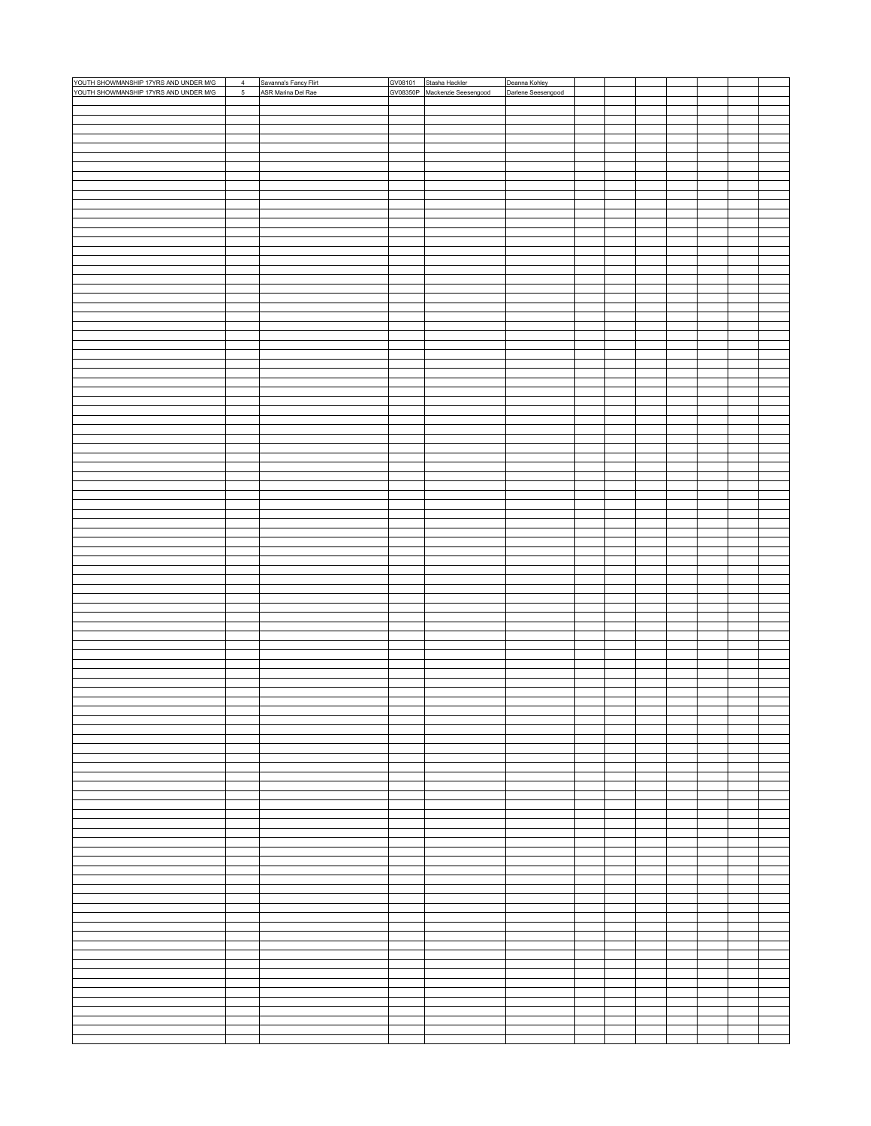|                                                                                |                                       | Savanna's Fancy Flirt | GV08101 | Stasha Hackler                | Deanna Kohley      |  |  |  |  |
|--------------------------------------------------------------------------------|---------------------------------------|-----------------------|---------|-------------------------------|--------------------|--|--|--|--|
| YOUTH SHOWMANSHIP 17YRS AND UNDER M/G<br>YOUTH SHOWMANSHIP 17YRS AND UNDER M/G | $\begin{array}{c} 4 \\ 5 \end{array}$ | ASR Marina Del Rae    |         | GV08350P Mackenzie Seesengood | Darlene Seesengood |  |  |  |  |
|                                                                                |                                       |                       |         |                               |                    |  |  |  |  |
|                                                                                |                                       |                       |         |                               |                    |  |  |  |  |
|                                                                                |                                       |                       |         |                               |                    |  |  |  |  |
|                                                                                |                                       |                       |         |                               |                    |  |  |  |  |
|                                                                                |                                       |                       |         |                               |                    |  |  |  |  |
|                                                                                |                                       |                       |         |                               |                    |  |  |  |  |
|                                                                                |                                       |                       |         |                               |                    |  |  |  |  |
|                                                                                |                                       |                       |         |                               |                    |  |  |  |  |
|                                                                                |                                       |                       |         |                               |                    |  |  |  |  |
|                                                                                |                                       |                       |         |                               |                    |  |  |  |  |
|                                                                                |                                       |                       |         |                               |                    |  |  |  |  |
|                                                                                |                                       |                       |         |                               |                    |  |  |  |  |
|                                                                                |                                       |                       |         |                               |                    |  |  |  |  |
|                                                                                |                                       |                       |         |                               |                    |  |  |  |  |
|                                                                                |                                       |                       |         |                               |                    |  |  |  |  |
|                                                                                |                                       |                       |         |                               |                    |  |  |  |  |
|                                                                                |                                       |                       |         |                               |                    |  |  |  |  |
|                                                                                |                                       |                       |         |                               |                    |  |  |  |  |
|                                                                                |                                       |                       |         |                               |                    |  |  |  |  |
|                                                                                |                                       |                       |         |                               |                    |  |  |  |  |
|                                                                                |                                       |                       |         |                               |                    |  |  |  |  |
|                                                                                |                                       |                       |         |                               |                    |  |  |  |  |
|                                                                                |                                       |                       |         |                               |                    |  |  |  |  |
|                                                                                |                                       |                       |         |                               |                    |  |  |  |  |
|                                                                                |                                       |                       |         |                               |                    |  |  |  |  |
|                                                                                |                                       |                       |         |                               |                    |  |  |  |  |
|                                                                                |                                       |                       |         |                               |                    |  |  |  |  |
|                                                                                |                                       |                       |         |                               |                    |  |  |  |  |
|                                                                                |                                       |                       |         |                               |                    |  |  |  |  |
|                                                                                |                                       |                       |         |                               |                    |  |  |  |  |
|                                                                                |                                       |                       |         |                               |                    |  |  |  |  |
|                                                                                |                                       |                       |         |                               |                    |  |  |  |  |
|                                                                                |                                       |                       |         |                               |                    |  |  |  |  |
|                                                                                |                                       |                       |         |                               |                    |  |  |  |  |
|                                                                                |                                       |                       |         |                               |                    |  |  |  |  |
|                                                                                |                                       |                       |         |                               |                    |  |  |  |  |
|                                                                                |                                       |                       |         |                               |                    |  |  |  |  |
|                                                                                |                                       |                       |         |                               |                    |  |  |  |  |
|                                                                                |                                       |                       |         |                               |                    |  |  |  |  |
|                                                                                |                                       |                       |         |                               |                    |  |  |  |  |
|                                                                                |                                       |                       |         |                               |                    |  |  |  |  |
|                                                                                |                                       |                       |         |                               |                    |  |  |  |  |
|                                                                                |                                       |                       |         |                               |                    |  |  |  |  |
|                                                                                |                                       |                       |         |                               |                    |  |  |  |  |
|                                                                                |                                       |                       |         |                               |                    |  |  |  |  |
|                                                                                |                                       |                       |         |                               |                    |  |  |  |  |
|                                                                                |                                       |                       |         |                               |                    |  |  |  |  |
|                                                                                |                                       |                       |         |                               |                    |  |  |  |  |
|                                                                                |                                       |                       |         |                               |                    |  |  |  |  |
|                                                                                |                                       |                       |         |                               |                    |  |  |  |  |
|                                                                                |                                       |                       |         |                               |                    |  |  |  |  |
|                                                                                |                                       |                       |         |                               |                    |  |  |  |  |
|                                                                                |                                       |                       |         |                               |                    |  |  |  |  |
|                                                                                |                                       |                       |         |                               |                    |  |  |  |  |
|                                                                                |                                       |                       |         |                               |                    |  |  |  |  |
|                                                                                |                                       |                       |         |                               |                    |  |  |  |  |
|                                                                                |                                       |                       |         |                               |                    |  |  |  |  |
|                                                                                |                                       |                       |         |                               |                    |  |  |  |  |
|                                                                                |                                       |                       |         |                               |                    |  |  |  |  |
|                                                                                |                                       |                       |         |                               |                    |  |  |  |  |
|                                                                                |                                       |                       |         |                               |                    |  |  |  |  |
|                                                                                |                                       |                       |         |                               |                    |  |  |  |  |
|                                                                                |                                       |                       |         |                               |                    |  |  |  |  |
|                                                                                |                                       |                       |         |                               |                    |  |  |  |  |
|                                                                                |                                       |                       |         |                               |                    |  |  |  |  |
|                                                                                |                                       |                       |         |                               |                    |  |  |  |  |
|                                                                                |                                       |                       |         |                               |                    |  |  |  |  |
|                                                                                |                                       |                       |         |                               |                    |  |  |  |  |
|                                                                                |                                       |                       |         |                               |                    |  |  |  |  |
|                                                                                |                                       |                       |         |                               |                    |  |  |  |  |
|                                                                                |                                       |                       |         |                               |                    |  |  |  |  |
|                                                                                |                                       |                       |         |                               |                    |  |  |  |  |
|                                                                                |                                       |                       |         |                               |                    |  |  |  |  |
|                                                                                |                                       |                       |         |                               |                    |  |  |  |  |
|                                                                                |                                       |                       |         |                               |                    |  |  |  |  |
|                                                                                |                                       |                       |         |                               |                    |  |  |  |  |
|                                                                                |                                       |                       |         |                               |                    |  |  |  |  |
|                                                                                |                                       |                       |         |                               |                    |  |  |  |  |
|                                                                                |                                       |                       |         |                               |                    |  |  |  |  |
|                                                                                |                                       |                       |         |                               |                    |  |  |  |  |
|                                                                                |                                       |                       |         |                               |                    |  |  |  |  |
|                                                                                |                                       |                       |         |                               |                    |  |  |  |  |
|                                                                                |                                       |                       |         |                               |                    |  |  |  |  |
|                                                                                |                                       |                       |         |                               |                    |  |  |  |  |
|                                                                                |                                       |                       |         |                               |                    |  |  |  |  |
|                                                                                |                                       |                       |         |                               |                    |  |  |  |  |
|                                                                                |                                       |                       |         |                               |                    |  |  |  |  |